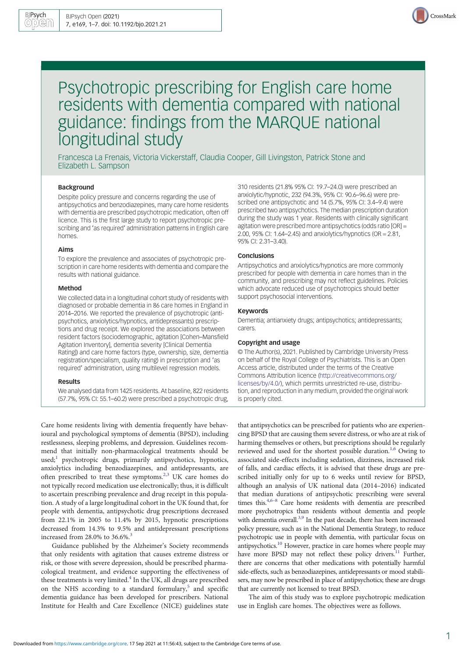

# Psychotropic prescribing for English care home residents with dementia compared with national guidance: findings from the MARQUE national longitudinal study

Francesca La Frenais, Victoria Vickerstaff, Claudia Cooper, Gill Livingston, Patrick Stone and Elizabeth L. Sampson

# Background

Despite policy pressure and concerns regarding the use of antipsychotics and benzodiazepines, many care home residents with dementia are prescribed psychotropic medication, often off licence. This is the first large study to report psychotropic prescribing and 'as required' administration patterns in English care homes.

#### Aims

To explore the prevalence and associates of psychotropic prescription in care home residents with dementia and compare the results with national guidance.

#### Method

We collected data in a longitudinal cohort study of residents with diagnosed or probable dementia in 86 care homes in England in 2014–2016. We reported the prevalence of psychotropic (antipsychotics, anxiolytics/hypnotics, antidepressants) prescriptions and drug receipt. We explored the associations between resident factors (sociodemographic, agitation [Cohen–Mansfield Agitation Inventory], dementia severity [Clinical Dementia Rating]) and care home factors (type, ownership, size, dementia registration/specialism, quality rating) in prescription and 'as required' administration, using multilevel regression models.

#### Results

We analysed data from 1425 residents. At baseline, 822 residents (57.7%, 95% CI: 55.1–60.2) were prescribed a psychotropic drug,

Care home residents living with dementia frequently have behavioural and psychological symptoms of dementia (BPSD), including restlessness, sleeping problems, and depression. Guidelines recommend that initially non-pharmacological treatments should be  $used$ ; psychotropic drugs, primarily antipsychotics, hypnotics, anxiolytics including benzodiazepines, and antidepressants, are often prescribed to treat these symptoms.[2](#page-5-0),[3](#page-5-0) UK care homes do not typically record medication use electronically; thus, it is difficult to ascertain prescribing prevalence and drug receipt in this population. A study of a large longitudinal cohort in the UK found that, for people with dementia, antipsychotic drug prescriptions decreased from 22.1% in 2005 to 11.4% by 2015, hypnotic prescriptions decreased from 14.3% to 9.5% and antidepressant prescriptions increased from  $28.0\%$  to  $36.6\%$ .<sup>3</sup>

Guidance published by the Alzheimer's Society recommends that only residents with agitation that causes extreme distress or risk, or those with severe depression, should be prescribed pharmacological treatment, and evidence supporting the effectiveness of these treatments is very limited. $4$  In the UK, all drugs are prescribed on the NHS according to a standard formulary, $5$  and specific dementia guidance has been developed for prescribers. National Institute for Health and Care Excellence (NICE) guidelines state 310 residents (21.8% 95% CI: 19.7–24.0) were prescribed an anxiolytic/hypnotic, 232 (94.3%, 95% CI: 90.6–96.6) were prescribed one antipsychotic and 14 (5.7%, 95% CI: 3.4–9.4) were prescribed two antipsychotics. The median prescription duration during the study was 1 year. Residents with clinically significant agitation were prescribed more antipsychotics (odds ratio [OR] = 2.00, 95% CI: 1.64–2.45) and anxiolytics/hypnotics (OR = 2.81, 95% CI: 2.31–3.40).

## **Conclusions**

Antipsychotics and anxiolytics/hypnotics are more commonly prescribed for people with dementia in care homes than in the community, and prescribing may not reflect guidelines. Policies which advocate reduced use of psychotropics should better support psychosocial interventions.

# Keywords

Dementia; antianxiety drugs; antipsychotics; antidepressants; carers.

#### Copyright and usage

© The Author(s), 2021. Published by Cambridge University Press on behalf of the Royal College of Psychiatrists. This is an Open Access article, distributed under the terms of the Creative Commons Attribution licence [\(http://creativecommons.org/](http://creativecommons.org/licenses/by/4.0/) [licenses/by/4.0/](http://creativecommons.org/licenses/by/4.0/)), which permits unrestricted re-use, distribution, and reproduction in any medium, provided the original work is properly cited.

that antipsychotics can be prescribed for patients who are experiencing BPSD that are causing them severe distress, or who are at risk of harming themselves or others, but prescriptions should be regularly reviewed and used for the shortest possible duration.<sup>[1](#page-5-0),[6](#page-5-0)</sup> Owing to associated side-effects including sedation, dizziness, increased risk of falls, and cardiac effects, it is advised that these drugs are prescribed initially only for up to 6 weeks until review for BPSD, although an analysis of UK national data (2014–2016) indicated that median durations of antipsychotic prescribing were several times this.[4,6](#page-5-0)–[8](#page-5-0) Care home residents with dementia are prescribed more psychotropics than residents without dementia and people with dementia overall.<sup>[3,9](#page-5-0)</sup> In the past decade, there has been increased policy pressure, such as in the National Dementia Strategy, to reduce psychotropic use in people with dementia, with particular focus on antipsychotics[.10](#page-5-0) However, practice in care homes where people may have more BPSD may not reflect these policy drivers.<sup>[11](#page-5-0)</sup> Further, there are concerns that other medications with potentially harmful side-effects, such as benzodiazepines, antidepressants or mood stabilisers, may now be prescribed in place of antipsychotics; these are drugs that are currently not licensed to treat BPSD.

The aim of this study was to explore psychotropic medication use in English care homes. The objectives were as follows.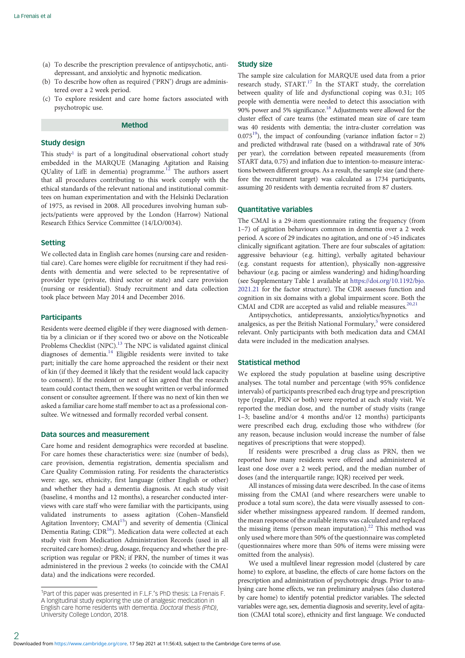- (a) To describe the prescription prevalence of antipsychotic, antidepressant, and anxiolytic and hypnotic medication.
- (b) To describe how often as required ('PRN') drugs are administered over a 2 week period.
- (c) To explore resident and care home factors associated with psychotropic use.

# Method

# Study design

This study<sup>1</sup> is part of a longitudinal observational cohort study embedded in the MARQUE (Managing Agitation and Raising QUality of LifE in dementia) programme.<sup>[12](#page-5-0)</sup> The authors assert that all procedures contributing to this work comply with the ethical standards of the relevant national and institutional committees on human experimentation and with the Helsinki Declaration of 1975, as revised in 2008. All procedures involving human subjects/patients were approved by the London (Harrow) National Research Ethics Service Committee (14/LO/0034).

# Setting

We collected data in English care homes (nursing care and residential care). Care homes were eligible for recruitment if they had residents with dementia and were selected to be representative of provider type (private, third sector or state) and care provision (nursing or residential). Study recruitment and data collection took place between May 2014 and December 2016.

#### **Participants**

Residents were deemed eligible if they were diagnosed with dementia by a clinician or if they scored two or above on the Noticeable Problems Checklist (NPC)[.13](#page-5-0) The NPC is validated against clinical diagnoses of dementia.<sup>[14](#page-5-0)</sup> Eligible residents were invited to take part; initially the care home approached the resident or their next of kin (if they deemed it likely that the resident would lack capacity to consent). If the resident or next of kin agreed that the research team could contact them, then we sought written or verbal informed consent or consultee agreement. If there was no next of kin then we asked a familiar care home staff member to act as a professional consultee. We witnessed and formally recorded verbal consent.

# Data sources and measurement

Care home and resident demographics were recorded at baseline. For care homes these characteristics were: size (number of beds), care provision, dementia registration, dementia specialism and Care Quality Commission rating. For residents the characteristics were: age, sex, ethnicity, first language (either English or other) and whether they had a dementia diagnosis. At each study visit (baseline, 4 months and 12 months), a researcher conducted interviews with care staff who were familiar with the participants, using validated instruments to assess agitation (Cohen–Mansfield Agitation Inventory; CMAI<sup>15</sup>) and severity of dementia (Clinical Dementia Rating; CDR<sup>[16](#page-5-0)</sup>). Medication data were collected at each study visit from Medication Administration Records (used in all recruited care homes): drug, dosage, frequency and whether the prescription was regular or PRN; if PRN, the number of times it was administered in the previous 2 weeks (to coincide with the CMAI data) and the indications were recorded.

# Study size

The sample size calculation for MARQUE used data from a prior research study, START.<sup>[17](#page-5-0)</sup> In the START study, the correlation between quality of life and dysfunctional coping was 0.31; 105 people with dementia were needed to detect this association with 90% power and 5% significance.<sup>[18](#page-5-0)</sup> Adjustments were allowed for the cluster effect of care teams (the estimated mean size of care team was 40 residents with dementia; the intra-cluster correlation was 0.075<sup>19</sup>), the impact of confounding (variance inflation factor = 2) and predicted withdrawal rate (based on a withdrawal rate of 30% per year), the correlation between repeated measurements (from START data, 0.75) and inflation due to intention-to-measure interactions between different groups. As a result, the sample size (and therefore the recruitment target) was calculated as 1734 participants, assuming 20 residents with dementia recruited from 87 clusters.

# Quantitative variables

The CMAI is a 29-item questionnaire rating the frequency (from 1–7) of agitation behaviours common in dementia over a 2 week period. A score of 29 indicates no agitation, and one of >45 indicates clinically significant agitation. There are four subscales of agitation: aggressive behaviour (e.g. hitting), verbally agitated behaviour (e.g. constant requests for attention), physically non-aggressive behaviour (e.g. pacing or aimless wandering) and hiding/hoarding (see Supplementary Table 1 available at [https://doi.org/10.1192/bjo.](https://doi.org/10.1192/bjo.2021.21) [2021.21](https://doi.org/10.1192/bjo.2021.21) for the factor structure). The CDR assesses function and cognition in six domains with a global impairment score. Both the CMAI and CDR are accepted as valid and reliable measures.<sup>[20](#page-5-0),[21](#page-5-0)</sup>

Antipsychotics, antidepressants, anxiolytics/hypnotics and analgesics, as per the British National Formulary,<sup>[5](#page-5-0)</sup> were considered relevant. Only participants with both medication data and CMAI data were included in the medication analyses.

# Statistical method

We explored the study population at baseline using descriptive analyses. The total number and percentage (with 95% confidence intervals) of participants prescribed each drug type and prescription type (regular, PRN or both) were reported at each study visit. We reported the median dose, and the number of study visits (range 1–3; baseline and/or 4 months and/or 12 months) participants were prescribed each drug, excluding those who withdrew (for any reason, because inclusion would increase the number of false negatives of prescriptions that were stopped).

If residents were prescribed a drug class as PRN, then we reported how many residents were offered and administered at least one dose over a 2 week period, and the median number of doses (and the interquartile range; IQR) received per week.

All instances of missing data were described. In the case of items missing from the CMAI (and where researchers were unable to produce a total sum score), the data were visually assessed to consider whether missingness appeared random. If deemed random, the mean response of the available items was calculated and replaced the missing items (person mean imputation).<sup>[22](#page-5-0)</sup> This method was only used where more than 50% of the questionnaire was completed (questionnaires where more than 50% of items were missing were omitted from the analysis).

We used a multilevel linear regression model (clustered by care home) to explore, at baseline, the effects of care home factors on the prescription and administration of psychotropic drugs. Prior to analysing care home effects, we ran preliminary analyses (also clustered by care home) to identify potential predictor variables. The selected variables were age, sex, dementia diagnosis and severity, level of agitation (CMAI total score), ethnicity and first language. We conducted

<sup>&</sup>lt;sup>1</sup>Part of this paper was presented in F.L.F.'s PhD thesis: La Frenais F. A longitudinal study exploring the use of analgesic medication in English care home residents with dementia. Doctoral thesis (PhD), University College London, 2018.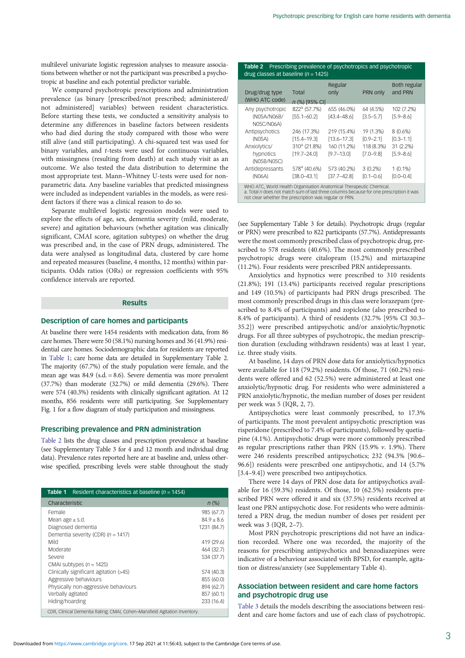multilevel univariate logistic regression analyses to measure associations between whether or not the participant was prescribed a psychotropic at baseline and each potential predictor variable.

We compared psychotropic prescriptions and administration prevalence (as binary [prescribed/not prescribed; administered/ not administered] variables) between resident characteristics. Before starting these tests, we conducted a sensitivity analysis to determine any differences in baseline factors between residents who had died during the study compared with those who were still alive (and still participating). A chi-squared test was used for binary variables, and t-tests were used for continuous variables, with missingness (resulting from death) at each study visit as an outcome. We also tested the data distribution to determine the most appropriate test. Mann–Whitney U-tests were used for nonparametric data. Any baseline variables that predicted missingness were included as independent variables in the models, as were resident factors if there was a clinical reason to do so.

Separate multilevel logistic regression models were used to explore the effects of age, sex, dementia severity (mild, moderate, severe) and agitation behaviours (whether agitation was clinically significant, CMAI score, agitation subtypes) on whether the drug was prescribed and, in the case of PRN drugs, administered. The data were analysed as longitudinal data, clustered by care home and repeated measures (baseline, 4 months, 12 months) within participants. Odds ratios (ORs) or regression coefficients with 95% confidence intervals are reported.

# Results

# Description of care homes and participants

At baseline there were 1454 residents with medication data, from 86 care homes. There were 50 (58.1%) nursing homes and 36 (41.9%) residential care homes. Sociodemographic data for residents are reported in Table 1; care home data are detailed in Supplementary Table 2. The majority (67.7%) of the study population were female, and the mean age was 84.9 (s.d. = 8.6). Severe dementia was more prevalent (37.7%) than moderate (32.7%) or mild dementia (29.6%). There were 574 (40.3%) residents with clinically significant agitation. At 12 months, 856 residents were still participating. See Supplementary Fig. 1 for a flow diagram of study participation and missingness.

#### Prescribing prevalence and PRN administration

Table 2 lists the drug classes and prescription prevalence at baseline (see Supplementary Table 3 for 4 and 12 month and individual drug data). Prevalence rates reported here are at baseline and, unless otherwise specified, prescribing levels were stable throughout the study

| Table 1<br>Resident characteristics at baseline ( $n = 1454$ )                                                                                                                                                                                                                            |                                                                                                                                             |
|-------------------------------------------------------------------------------------------------------------------------------------------------------------------------------------------------------------------------------------------------------------------------------------------|---------------------------------------------------------------------------------------------------------------------------------------------|
| Characteristic                                                                                                                                                                                                                                                                            | $n$ (%)                                                                                                                                     |
| Female<br>Mean age $\pm$ s.d.<br>Diagnosed dementia<br>Dementia severity (CDR) ( $n = 1417$ )<br>Mild<br>Moderate<br>Severe<br>CMAI subtypes $(n = 1425)$<br>Clinically significant agitation (>45)<br>Aggressive behaviours<br>Physically non-aggressive behaviours<br>Verbally agitated | 985 (67.7)<br>$84.9 + 8.6$<br>1231 (84.7)<br>419 (29.6)<br>464 (32.7)<br>534 (37.7)<br>574 (40.3)<br>855 (60.0)<br>894 (62.7)<br>857 (60.1) |
| Hiding/hoarding                                                                                                                                                                                                                                                                           | 233 (16.4)                                                                                                                                  |
| CDR, Clinical Dementia Rating; CMAI, Cohen-Mansfield Agitation Inventory.                                                                                                                                                                                                                 |                                                                                                                                             |

#### Table 2 Prescribing prevalence of psychotropics and psychotropic drug classes at baseline ( $n = 1425$ )

| Drug/drug type<br>(WHO ATC code)                                                                                                                                                                                         | Total<br>n (%) [95% CI]                                                       | Regular<br>only                                                 | PRN only                                                  | <b>Both regular</b><br>and PRN                         |  |
|--------------------------------------------------------------------------------------------------------------------------------------------------------------------------------------------------------------------------|-------------------------------------------------------------------------------|-----------------------------------------------------------------|-----------------------------------------------------------|--------------------------------------------------------|--|
| Any psychotropic<br>(N05A/N06B/<br>N05C/N06A)                                                                                                                                                                            | 822 <sup>a</sup> (57.7%)<br>$[55.1 - 60.2]$                                   | 655 (46.0%)<br>$[43.4 - 48.6]$                                  | 64 (4.5%)<br>$[3.5 - 5.7]$                                | 102 (7.2%)<br>$[5.9 - 8.6]$                            |  |
| Antipsychotics<br>(NO5A)<br>Anxiolytics/<br>hypnotics<br>(N05B/N05C)                                                                                                                                                     | 246 (17.3%)<br>$[15.4 - 19.3]$<br>310 <sup>a</sup> (21.8%)<br>$[19.7 - 24.0]$ | 219 (15.4%)<br>$[13.6 - 17.3]$<br>160 (11.2%)<br>$[9.7 - 13.0]$ | 19 (1.3%)<br>$[0.9 - 2.1]$<br>118 (8.3%)<br>$[7.0 - 9.8]$ | 8(0.6%)<br>$[0.3 - 1.1]$<br>31 (2.2%)<br>$[5.9 - 8.6]$ |  |
| Antidepressants<br>(NO6A)                                                                                                                                                                                                | 578 <sup>a</sup> (40.6%)<br>$[38.0 - 43.1]$                                   | 573 (40.2%)<br>$[37.7 - 42.8]$                                  | $3(0.2\%)$<br>$[0.1 - 0.6]$                               | $1(0.1\%)$<br>$[0.0 - 0.4]$                            |  |
| WHO ATC, World Health Organisation Anatomical Therapeutic Chemical.<br>a. Total n does not match sum of last three columns because for one prescription it was<br>not clear whether the prescription was regular or PRN. |                                                                               |                                                                 |                                                           |                                                        |  |

(see Supplementary Table 3 for details). Psychotropic drugs (regular or PRN) were prescribed to 822 participants (57.7%). Antidepressants were the most commonly prescribed class of psychotropic drug, prescribed to 578 residents (40.6%). The most commonly prescribed psychotropic drugs were citalopram (15.2%) and mirtazapine (11.2%). Four residents were prescribed PRN antidepressants.

Anxiolytics and hypnotics were prescribed to 310 residents (21.8%); 191 (13.4%) participants received regular prescriptions and 149 (10.5%) of participants had PRN drugs prescribed. The most commonly prescribed drugs in this class were lorazepam (prescribed to 8.4% of participants) and zopiclone (also prescribed to 8.4% of participants). A third of residents (32.7% [95% CI 30.3– 35.2]) were prescribed antipsychotic and/or anxiolytic/hypnotic drugs. For all three subtypes of psychotropic, the median prescription duration (excluding withdrawn residents) was at least 1 year, i.e. three study visits.

At baseline, 14 days of PRN dose data for anxiolytics/hypnotics were available for 118 (79.2%) residents. Of those, 71 (60.2%) residents were offered and 62 (52.5%) were administered at least one anxiolytic/hypnotic drug. For residents who were administered a PRN anxiolytic/hypnotic, the median number of doses per resident per week was 5 (IQR, 2, 7).

Antipsychotics were least commonly prescribed, to 17.3% of participants. The most prevalent antipsychotic prescription was risperidone (prescribed to 7.4% of participants), followed by quetiapine (4.1%). Antipsychotic drugs were more commonly prescribed as regular prescriptions rather than PRN (15.9%  $v$ . 1.9%). There were 246 residents prescribed antipsychotics; 232 (94.3% [90.6– 96.6]) residents were prescribed one antipsychotic, and 14 (5.7% [3.4–9.4]) were prescribed two antipsychotics.

There were 14 days of PRN dose data for antipsychotics available for 16 (59.3%) residents. Of those, 10 (62.5%) residents prescribed PRN were offered it and six (37.5%) residents received at least one PRN antipsychotic dose. For residents who were administered a PRN drug, the median number of doses per resident per week was 3 (IQR, 2–7).

Most PRN psychotropic prescriptions did not have an indication recorded. Where one was recorded, the majority of the reasons for prescribing antipsychotics and benzodiazepines were indicative of a behaviour associated with BPSD, for example, agitation or distress/anxiety (see Supplementary Table 4).

# Association between resident and care home factors and psychotropic drug use

[Table 3](#page-3-0) details the models describing the associations between resident and care home factors and use of each class of psychotropic.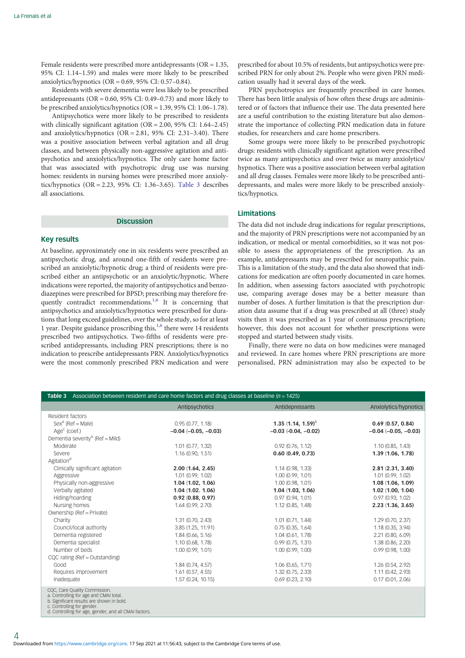<span id="page-3-0"></span>Female residents were prescribed more antidepressants (OR = 1.35, 95% CI: 1.14–1.59) and males were more likely to be prescribed anxiolytics/hypnotics (OR = 0.69, 95% CI: 0.57–0.84).

Residents with severe dementia were less likely to be prescribed antidepressants ( $OR = 0.60$ ,  $95\%$  CI:  $0.49 - 0.73$ ) and more likely to be prescribed anxiolytics/hypnotics (OR = 1.39, 95% CI: 1.06–1.78).

Antipsychotics were more likely to be prescribed to residents with clinically significant agitation (OR = 2.00, 95% CI: 1.64–2.45) and anxiolytics/hypnotics  $(OR = 2.81, 95\% \text{ CI: } 2.31-3.40)$ . There was a positive association between verbal agitation and all drug classes, and between physically non-aggressive agitation and antipsychotics and anxiolytics/hypnotics. The only care home factor that was associated with psychotropic drug use was nursing homes: residents in nursing homes were prescribed more anxiolytics/hypnotics (OR = 2.23, 95% CI: 1.36–3.65). Table 3 describes all associations.

#### **Discussion**

# Key results

At baseline, approximately one in six residents were prescribed an antipsychotic drug, and around one-fifth of residents were prescribed an anxiolytic/hypnotic drug; a third of residents were prescribed either an antipsychotic or an anxiolytic/hypnotic. Where indications were reported, the majority of antipsychotics and benzodiazepines were prescribed for BPSD; prescribing may therefore fre-quently contradict recommendations.<sup>[1](#page-5-0),[6](#page-5-0)</sup> It is concerning that antipsychotics and anxiolytics/hypnotics were prescribed for durations that long exceed guidelines, over the whole study, so for at least [1](#page-5-0) year. Despite guidance proscribing this,<sup>1,[6](#page-5-0)</sup> there were 14 residents prescribed two antipsychotics. Two-fifths of residents were prescribed antidepressants, including PRN prescriptions; there is no indication to prescribe antidepressants PRN. Anxiolytics/hypnotics were the most commonly prescribed PRN medication and were prescribed for about 10.5% of residents, but antipsychotics were prescribed PRN for only about 2%. People who were given PRN medication usually had it several days of the week.

PRN psychotropics are frequently prescribed in care homes. There has been little analysis of how often these drugs are administered or of factors that influence their use. The data presented here are a useful contribution to the existing literature but also demonstrate the importance of collecting PRN medication data in future studies, for researchers and care home prescribers.

Some groups were more likely to be prescribed psychotropic drugs: residents with clinically significant agitation were prescribed twice as many antipsychotics and over twice as many anxiolytics/ hypnotics. There was a positive association between verbal agitation and all drug classes. Females were more likely to be prescribed antidepressants, and males were more likely to be prescribed anxiolytics/hypnotics.

# **Limitations**

The data did not include drug indications for regular prescriptions, and the majority of PRN prescriptions were not accompanied by an indication, or medical or mental comorbidities, so it was not possible to assess the appropriateness of the prescription. As an example, antidepressants may be prescribed for neuropathic pain. This is a limitation of the study, and the data also showed that indications for medication are often poorly documented in care homes. In addition, when assessing factors associated with psychotropic use, comparing average doses may be a better measure than number of doses. A further limitation is that the prescription duration data assume that if a drug was prescribed at all (three) study visits then it was prescribed as 1 year of continuous prescription; however, this does not account for whether prescriptions were stopped and started between study visits.

Finally, there were no data on how medicines were managed and reviewed. In care homes where PRN prescriptions are more personalised, PRN administration may also be expected to be

| <b>Table 3</b> Association between resident and care home factors and drug classes at baseline ( $n = 1425$ )                                                                                               |                          |                          |                        |  |  |
|-------------------------------------------------------------------------------------------------------------------------------------------------------------------------------------------------------------|--------------------------|--------------------------|------------------------|--|--|
|                                                                                                                                                                                                             | Antipsychotics           | Antidepressants          | Anxiolytics/hypnotics  |  |  |
| Resident factors                                                                                                                                                                                            |                          |                          |                        |  |  |
| $Sexa$ (Ref = Male)                                                                                                                                                                                         | 0.95(0.77, 1.18)         | 1.35 $(1.14, 1.59)^{D}$  | 0.69(0.57, 0.84)       |  |  |
| $Agec$ (coef.)                                                                                                                                                                                              | $-0.04$ $(-0.05, -0.03)$ | $-0.03$ $(-0.04, -0.02)$ | $-0.04 (-0.05, -0.03)$ |  |  |
| Dementia severity <sup>a</sup> (Ref = Mild)                                                                                                                                                                 |                          |                          |                        |  |  |
| Moderate                                                                                                                                                                                                    | $1.01$ (0.77, 1.32)      | $0.92$ (0.76, 1.12)      | 1.10(0.85, 1.43)       |  |  |
| Severe                                                                                                                                                                                                      | 1.16(0.90, 1.51)         | 0.60(0.49, 0.73)         | 1.39(1.06, 1.78)       |  |  |
| Agitation <sup>d</sup>                                                                                                                                                                                      |                          |                          |                        |  |  |
| Clinically significant agitation                                                                                                                                                                            | 2.00(1.64, 2.45)         | 1.14 (0.98, 1.33)        | 2.81(2.31, 3.40)       |  |  |
| Aggressive                                                                                                                                                                                                  | 1.01(0.99, 1.02)         | 1.00 (0.99, 1.01)        | 1.01(0.99, 1.02)       |  |  |
| Physically non-aggressive                                                                                                                                                                                   | 1.04(1.02, 1.06)         | 1.00 (0.98, 1.01)        | 1.08(1.06, 1.09)       |  |  |
| Verbally agitated                                                                                                                                                                                           | 1.04(1.02.1.06)          | 1.04(1.03, 1.06)         | 1.02(1.00, 1.04)       |  |  |
| Hiding/hoarding                                                                                                                                                                                             | 0.92(0.88, 0.97)         | 0.97(0.94, 1.01)         | 0.97(0.93, 1.02)       |  |  |
| Nursing homes                                                                                                                                                                                               | 1.64(0.99, 2.70)         | 1.12 (0.85, 1.48)        | 2.23(1.36, 3.65)       |  |  |
| Ownership (Ref = Private)                                                                                                                                                                                   |                          |                          |                        |  |  |
| Charity                                                                                                                                                                                                     | 1.31(0.70, 2.43)         | $1.01$ (0.71, 1.44)      | 1.29 (0.70, 2.37)      |  |  |
| Council/local authority                                                                                                                                                                                     | 3.85 (1.25, 11.91)       | 0.75(0.35, 1.64)         | 1.18 (0.35, 3.94)      |  |  |
| Dementia registered                                                                                                                                                                                         | 1.84(0.66, 5.16)         | 1.04 (0.61, 1.78)        | 2.21 (0.80, 6.09)      |  |  |
| Dementia specialist                                                                                                                                                                                         | 1.10(0.68, 1.78)         | 0.99(0.75, 1.31)         | 1.38 (0.86, 2.20)      |  |  |
| Number of beds                                                                                                                                                                                              | 1.00(0.99, 1.01)         | 1.00(0.99, 1.00)         | 0.99(0.98, 1.00)       |  |  |
| CQC rating (Ref = Outstanding)                                                                                                                                                                              |                          |                          |                        |  |  |
| Good                                                                                                                                                                                                        | 1.84(0.74, 4.57)         | 1.06(0.65, 1.71)         | 1.26 (0.54, 2.92)      |  |  |
| Requires improvement                                                                                                                                                                                        | 1.61(0.57, 4.55)         | 1.32 (0.75, 2.33)        | 1.11 (0.42, 2.93)      |  |  |
| Inadequate                                                                                                                                                                                                  | 1.57(0.24, 10.15)        | $0.69$ $(0.23, 2.10)$    | 0.17(0.01, 2.06)       |  |  |
| CQC, Care Quality Commission.<br>a. Controlling for age and CMAI total.<br>b. Significant results are shown in bold.<br>c. Controlling for gender.<br>d. Controlling for age, gender, and all CMAI factors. |                          |                          |                        |  |  |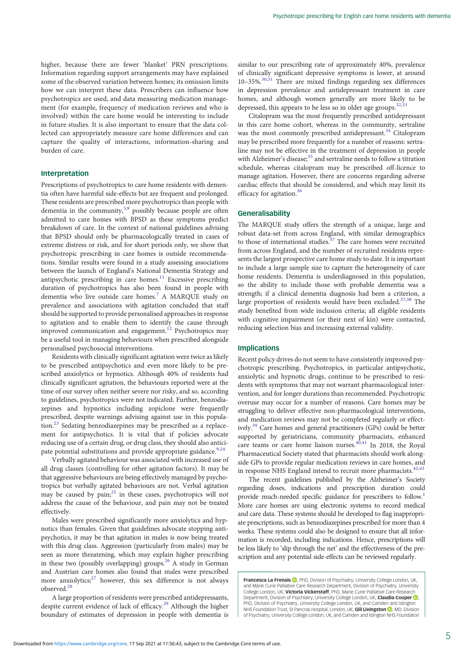higher, because there are fewer 'blanket' PRN prescriptions. Information regarding support arrangements may have explained some of the observed variation between homes; its omission limits how we can interpret these data. Prescribers can influence how psychotropics are used, and data measuring medication management (for example, frequency of medication reviews and who is involved) within the care home would be interesting to include in future studies. It is also important to ensure that the data collected can appropriately measure care home differences and can capture the quality of interactions, information-sharing and burden of care.

# Interpretation

Prescriptions of psychotropics to care home residents with dementia often have harmful side-effects but are frequent and prolonged. These residents are prescribed more psychotropics than people with dementia in the community,<sup>3,[9](#page-5-0)</sup> possibly because people are often admitted to care homes with BPSD as these symptoms predict breakdown of care. In the context of national guidelines advising that BPSD should only be pharmacologically treated in cases of extreme distress or risk, and for short periods only, we show that psychotropic prescribing in care homes is outside recommendations. Similar results were found in a study assessing associations between the launch of England's National Dementia Strategy and antipsychotic prescribing in care homes.<sup>11</sup> Excessive prescribing duration of psychotropics has also been found in people with dementia who live outside care homes[.7](#page-5-0) A MARQUE study on prevalence and associations with agitation concluded that staff should be supported to provide personalised approaches in response to agitation and to enable them to identify the cause through improved communication and engagement.<sup>[12](#page-5-0)</sup> Psychotropics may be a useful tool in managing behaviours when prescribed alongside personalised psychosocial interventions.

Residents with clinically significant agitation were twice as likely to be prescribed antipsychotics and even more likely to be prescribed anxiolytics or hypnotics. Although 40% of residents had clinically significant agitation, the behaviours reported were at the time of our survey often neither severe nor risky, and so, according to guidelines, psychotropics were not indicated. Further, benzodiazepines and hypnotics including zopiclone were frequently prescribed, despite warnings advising against use in this popula- $\chi$  tion.<sup>[23](#page-5-0)</sup> Sedating benzodiazepines may be prescribed as a replacement for antipsychotics. It is vital that if policies advocate reducing use of a certain drug, or drug class, they should also antici-pate potential substitutions and provide appropriate guidance.<sup>9,[24](#page-5-0)</sup>

Verbally agitated behaviour was associated with increased use of all drug classes (controlling for other agitation factors). It may be that aggressive behaviours are being effectively managed by psychotropics but verbally agitated behaviours are not. Verbal agitation may be caused by  $\text{pain;}^{25}$  $\text{pain;}^{25}$  $\text{pain;}^{25}$  in these cases, psychotropics will not address the cause of the behaviour, and pain may not be treated effectively.

Males were prescribed significantly more anxiolytics and hypnotics than females. Given that guidelines advocate stopping antipsychotics, it may be that agitation in males is now being treated with this drug class. Aggression (particularly from males) may be seen as more threatening, which may explain higher prescribing in these two (possibly overlapping) groups.<sup>[26](#page-5-0)</sup> A study in German and Austrian care homes also found that males were prescribed more anxiolytics; $27$  however, this sex difference is not always observed[.28](#page-5-0)

A large proportion of residents were prescribed antidepressants, despite current evidence of lack of efficacy.<sup>[29](#page-5-0)</sup> Although the higher boundary of estimates of depression in people with dementia is similar to our prescribing rate of approximately 40%, prevalence of clinically significant depressive symptoms is lower, at around 10-35%.<sup>[30,31](#page-5-0)</sup> There are mixed findings regarding sex differences in depression prevalence and antidepressant treatment in care homes, and although women generally are more likely to be depressed, this appears to be less so in older age groups. $32,33$ 

Citalopram was the most frequently prescribed antidepressant in this care home cohort, whereas in the community, sertraline was the most commonly prescribed antidepressant.<sup>[34](#page-6-0)</sup> Citalopram may be prescribed more frequently for a number of reasons: sertraline may not be effective in the treatment of depression in people with Alzheimer's disease;<sup>[35](#page-6-0)</sup> and sertraline needs to follow a titration schedule, whereas citalopram may be prescribed off-licence to manage agitation. However, there are concerns regarding adverse cardiac effects that should be considered, and which may limit its efficacy for agitation.<sup>36</sup>

#### Generalisability

The MARQUE study offers the strength of a unique, large and robust data-set from across England, with similar demographics to those of international studies.<sup>[37](#page-6-0)</sup> The care homes were recruited from across England, and the number of recruited residents represents the largest prospective care home study to date. It is important to include a large sample size to capture the heterogeneity of care home residents. Dementia is underdiagnosed in this population, so the ability to include those with probable dementia was a strength; if a clinical dementia diagnosis had been a criterion, a large proportion of residents would have been excluded.[37](#page-6-0),[38](#page-6-0) The study benefited from wide inclusion criteria; all eligible residents with cognitive impairment (or their next of kin) were contacted, reducing selection bias and increasing external validity.

# Implications

Recent policy drives do not seem to have consistently improved psychotropic prescribing. Psychotropics, in particular antipsychotic, anxiolytic and hypnotic drugs, continue to be prescribed to residents with symptoms that may not warrant pharmacological intervention, and for longer durations than recommended. Psychotropic overuse may occur for a number of reasons. Care homes may be struggling to deliver effective non-pharmacological interventions, and medication reviews may not be completed regularly or effectively[.39](#page-6-0) Care homes and general practitioners (GPs) could be better supported by geriatricians, community pharmacists, enhanced care teams or care home liaison nurses. $40,41$  In 2018, the Royal Pharmaceutical Society stated that pharmacists should work alongside GPs to provide regular medication reviews in care homes, and in response NHS England intend to recruit more pharmacists.<sup>[42,43](#page-6-0)</sup>

The recent guidelines published by the Alzheimer's Society regarding doses, indications and prescription duration could provide much-needed specific guidance for prescribers to follow.<sup>1</sup> More care homes are using electronic systems to record medical and care data. These systems should be developed to flag inappropriate prescriptions, such as benzodiazepines prescribed for more than 4 weeks. These systems could also be designed to ensure that all information is recorded, including indications. Hence, prescriptions will be less likely to 'slip through the net' and the effectiveness of the prescription and any potential side-effects can be reviewed regularly.

**Francesca La Frenais D**, PhD, Division of Psychiatry, University College London, UK and Marie Curie Palliative Care Research Department, Division of Psychiatry, University College London, UK; Victoria Vickerstaff, PhD, Marie Curie Palliative Care Research Department[,](https://orcid.org/0000-0002-2777-7616) Division of Psychiatry, University College London, UK; **Claudia Cooper (D)**<br>PhD, Division of Psychiatry, University College London, UK, and Camden and Islington NHS Foundation Trust[,](https://orcid.org/0000-0001-6741-5516) St Pancras Hospital, London, UK; Gill Livingston (D, MD, Division of Psychiatry, University College London, UK, and Camden and Islington NHS Foundation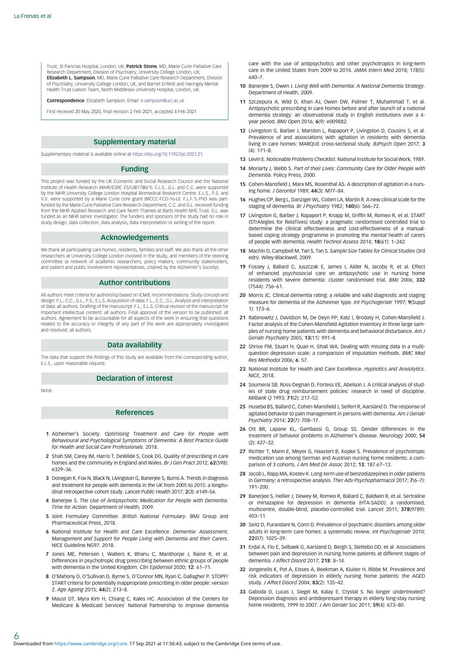<span id="page-5-0"></span>Trust, St Pancras Hospital, London, UK; Patrick Stone, MD, Marie Curie Palliative Care Research Department, Division of Psychiatry, University College London, UK; Elizabeth L. Sampson, MD, Marie Curie Palliative Care Research Department, Division of Psychiatry, University College London, UK, and Barnet Enfield and Haringey Mental Health Trust Liaison Team, North Middlesex University Hospital, London, UK.

Correspondence: Elizabeth Sampson. Email: [e.sampson@ucl.ac.uk](mailto:e.sampson@ucl.ac.uk)

First received 20 May 2020, final revision 2 Feb 2021, accepted 4 Feb 2021

#### Supplementary material

Supplementary material is available online at <https://doi.org/10.1192/bjo.2021.21>.

## Funding

This project was funded by the UK Economic and Social Research Council and the National Institute of Health Research (NIHR/ESRC ES/L001780/1). E.L.S., G.L. and C.C. were supported by the NIHR University College London Hospital Biomedical Research Centre. E.L.S., P.S. and V.V. were supported by a Marie Curie core grant (MCCC-FCO-16-U). F.L.F.'s PhD was partfunded by the Marie Curie Palliative Care Research Department. C.C. and G.L. received funding from the NIHR Applied Research and Care North Thames at Barts Health NHS Trust. G.L. was funded as an NIHR senior investigator. The funders and sponsors of the study had no role in study design, data collection, data analysis, data interpretation or writing of the report.

#### Acknowledgements

We thank all participating care homes, residents, families and staff. We also thank all the other researchers at University College London involved in the study, and members of the steering committee (a network of academic researchers, policy makers, community stakeholders, and patient and public involvement representatives, chaired by the Alzheimer's Society).

#### Author contributions

All authors meet criteria for authorship based on ICMJE recommendations. Study concept and design: F.L., C.C., G.L., P.S., E.L.S. Acquisition of data: F.L., C.C., G.L. Analysis and interpretation of data: all authors. Drafting of the manuscript: F.L., E.L.S. Critical revision of the manuscript for important intellectual content: all authors. Final approval of the version to be published: all authors. Agreement to be accountable for all aspects of the work in ensuring that questions related to the accuracy or integrity of any part of the work are appropriately investigated and resolved: all authors.

## Data availability

The data that support the findings of this study are available from the corresponding author, E.L.S., upon reasonable request.

# Declaration of interest

None.

6

## References

- 1 Alzheimer's Society. Optimising Treatment and Care for People with Behavioural and Psychological Symptoms of Dementia: A Best Practice Guide for Health and Social Care Professionals. 2018.
- 2 Shah SM, Carey IM, Harris T, DeWilde S, Cook DG. Quality of prescribing in care homes and the community in England and Wales. Br J Gen Pract 2012; 62(598): e329–36.
- 3 Donegan K, Fox N, Black N, Livingston G, Banerjee S, Burns A. Trends in diagnosis and treatment for people with dementia in the UK from 2005 to 2015: a longitudinal retrospective cohort study. Lancet Public Health 2017; 2(3): e149–56.
- 4 Baneriee S. The Use of Antipsychotic Medication for People with Dementia: Time for Action. Department of Health, 2009.
- 5 Joint Formulary Committee. British National Formulary. BMJ Group and Pharmaceutical Press, 2018.
- 6 National Institute for Health and Care Excellence. Dementia: Assessment, Management and Support for People Living with Dementia and their Carers. NICE Guideline NG97. 2018.
- 7 Jones ME, Petersen I, Walters K, Bhanu C, Manthorpe J, Raine R, et al. Differences in psychotropic drug prescribing between ethnic groups of people with dementia in the United Kingdom. Clin Epidemiol 2020; 12: 61–71.
- 8 O'Mahony D, O'Sullivan D, Byrne S, O'Connor MN, Ryan C, Gallagher P. STOPP/ START criteria for potentially inappropriate prescribing in older people: version 2. Age Ageing 2015; 44(2): 213–8.
- 9 Maust DT, Myra Kim H, Chiang C, Kales HC. Association of the Centers for Medicare & Medicaid Services' National Partnership to improve dementia

care with the use of antipsychotics and other psychotropics in long-term care in the United States from 2009 to 2014. JAMA Intern Med 2018; 178(5): 640–7.

- 10 Banerjee S, Owen J. Living Well with Dementia: A National Dementia Strategy. Department of Health, 2009.
- 11 Szczepura A, Wild D, Khan AJ, Owen DW, Palmer T, Muhammad T, et al. Antipsychotic prescribing in care homes before and after launch of a national dementia strategy: an observational study in English institutions over a 4 year period. BMJ Open 2016; 6(9): e009882.
- 12 Livingston G, Barber J, Marston L, Rapaport P, Livingston D, Cousins S, et al. Prevalence of and associations with agitation in residents with dementia living in care homes: MARQUE cross-sectional study. BJPsych Open 2017; 3 (4): 171–8.
- 13 Levin E. Noticeable Problems Checklist. National Institute for Social Work, 1989.
- 14 Moriarty J, Webb S, Part of their Lives: Community Care for Older People with Dementia. Policy Press, 2000.
- 15 Cohen-Mansfield J, Marx MS, Rosenthal AS. A description of agitation in a nursing home. J Gerontol 1989; 44(3): M77–84.
- 16 Hughes CP, Berg L, Danziger WL, Coben LA, Martin R. A new clinical scale for the staging of dementia. Br J Psychiatry 1982; 140(6): 566–72.
- 17 Livingston G, Barber J, Rapaport P, Knapp M, Griffin M, Romeo R, et al. START (STrAtegies for RelaTives) study: a pragmatic randomised controlled trial to determine the clinical effectiveness and cost-effectiveness of a manualbased coping strategy programme in promoting the mental health of carers of people with dementia. Health Technol Assess 2014; 18(61): 1–242.
- 18 Machin D, Campbell M, Tan S, Tan S. Sample Size Tables for Clinical Studies (3rd edn). Wiley-Blackwell, 2009.
- 19 Fossey J, Ballard C, Juszczak E, James I, Alder N, Jacoby R, et al. Effect of enhanced psychosocial care on antipsychotic use in nursing home residents with severe dementia: cluster randomised trial. BMJ 2006; 332 (7544): 756–61.
- 20 Morris JC. Clinical dementia rating: a reliable and valid diagnostic and staging measure for dementia of the Alzheimer type. Int Psychogeriatr 1997; 9(Suppl 1): 173–6.
- 21 Rabinowitz J, Davidson M, De Deyn PP, Katz I, Brodaty H, Cohen-Mansfield J. Factor analysis of the Cohen-Mansfield Agitation Inventory in three large samples of nursing home patients with dementia and behavioral disturbance. Am J Geriatr Psychiatry 2005; 13(11): 991–8.
- 22 Shrive FM, Stuart H, Quan H, Ghali WA. Dealing with missing data in a multiquestion depression scale: a comparison of imputation methods. BMC Med Res Methodol 2006; 6: 57.
- 23 National Institute for Health and Care Excellence. Hypnotics and Anxiolytics. **NICE 2018**
- 24 Soumerai SB, Ross-Degnan D, Fortess EE, Abelson J. A critical analysis of studies of state drug reimbursement policies: research in need of discipline. Milhank Q 1993; **71**(2): 217-52
- 25 Husebø BS, Ballard C, Cohen-Mansfield J, Seifert R, Aarsland D. The response of agitated behavior to pain management in persons with dementia. Am J Geriatr Psychiatry 2014; 22(7): 708–17.
- 26 Ott BR, Lapane KL, Gambassi G, Group SS. Gender differences in the treatment of behavior problems in Alzheimer's disease. Neurology 2000; 54 (2): 427–32.
- 27 Richter T, Mann E, Meyer G, Haastert B, Kopke S. Prevalence of psychotropic medication use among German and Austrian nursing home residents: a comparison of 3 cohorts. J Am Med Dir Assoc 2012; 13: 187.e7-13.
- 28 Jacob L, Rapp MA, Kostev K. Long-term use of benzodiazepines in older patients in Germany: a retrospective analysis. Ther Adv Psychopharmacol 2017; 7(6–7): 191–200.
- 29 Banerjee S, Hellier J, Dewey M, Romeo R, Ballard C, Baldwin R, et al. Sertraline or mirtazapine for depression in dementia (HTA-SADD): a randomised, multicentre, double-blind, placebo-controlled trial. Lancet 2011; 378(9789): 403–11.
- 30 Seitz D, Purandare N, Conn D. Prevalence of psychiatric disorders among older adults in long-term care homes: a systematic review. Int Psychogeriatr 2010; 22(07): 1025–39.
- 31 Erdal A, Flo E, Selbaek G, Aarsland D, Bergh S, Slettebo DD, et al. Associations between pain and depression in nursing home patients at different stages of dementia. J Affect Disord 2017; 218: 8–14.
- 32 Jongenelis K, Pot A, Eisses A, Beekman A, Kluiter H, Ribbe M. Prevalence and risk indicators of depression in elderly nursing home patients: the AGED study. J Affect Disord 2004; 83(2): 135-42.
- 33 Gaboda D, Lucas J, Siegel M, Kalay E, Crystal S. No longer undertreated? Depression diagnosis and antidepressant therapy in elderly long-stay nursing home residents, 1999 to 2007. J Am Geriatr Soc 2011; 59(4): 673–80.